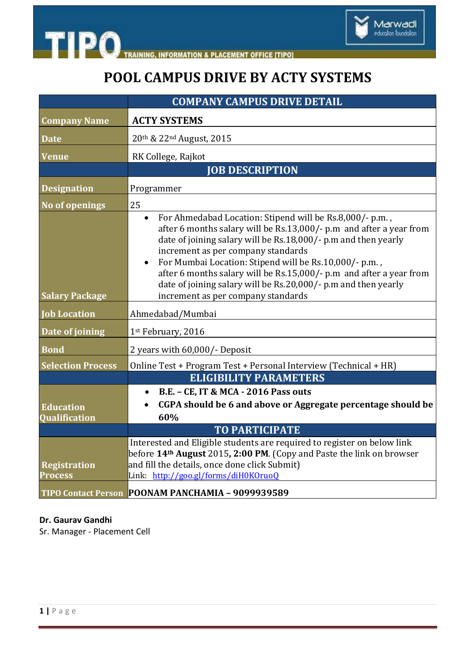

**INFORMATION & PLACEMENT OFFICE [TIPO]** 

## **POOL CAMPUS DRIVE BY ACTY SYSTEMS**

|                                       | <b>COMPANY CAMPUS DRIVE DETAIL</b>                                                                                                                                                                                                                                                                                                                                                                                                                                                            |
|---------------------------------------|-----------------------------------------------------------------------------------------------------------------------------------------------------------------------------------------------------------------------------------------------------------------------------------------------------------------------------------------------------------------------------------------------------------------------------------------------------------------------------------------------|
| <b>Company Name</b>                   | <b>ACTY SYSTEMS</b>                                                                                                                                                                                                                                                                                                                                                                                                                                                                           |
| <b>Date</b>                           | 20th & 22nd August, 2015                                                                                                                                                                                                                                                                                                                                                                                                                                                                      |
| <b>Venue</b>                          | RK College, Rajkot                                                                                                                                                                                                                                                                                                                                                                                                                                                                            |
|                                       | <b>JOB DESCRIPTION</b>                                                                                                                                                                                                                                                                                                                                                                                                                                                                        |
| <b>Designation</b>                    | Programmer                                                                                                                                                                                                                                                                                                                                                                                                                                                                                    |
| <b>No of openings</b>                 | 25                                                                                                                                                                                                                                                                                                                                                                                                                                                                                            |
| <b>Salary Package</b>                 | For Ahmedabad Location: Stipend will be Rs.8,000/- p.m.,<br>after 6 months salary will be Rs.13,000/- p.m and after a year from<br>date of joining salary will be Rs.18,000/- p.m and then yearly<br>increment as per company standards<br>For Mumbai Location: Stipend will be Rs.10,000/- p.m.,<br>$\bullet$<br>after 6 months salary will be Rs.15,000/- p.m and after a year from<br>date of joining salary will be Rs.20,000/- p.m and then yearly<br>increment as per company standards |
| <b>Job Location</b>                   | Ahmedabad/Mumbai                                                                                                                                                                                                                                                                                                                                                                                                                                                                              |
| Date of joining                       | 1st February, 2016                                                                                                                                                                                                                                                                                                                                                                                                                                                                            |
| <b>Bond</b>                           | 2 years with 60,000/- Deposit                                                                                                                                                                                                                                                                                                                                                                                                                                                                 |
| <b>Selection Process</b>              | Online Test + Program Test + Personal Interview (Technical + HR)                                                                                                                                                                                                                                                                                                                                                                                                                              |
|                                       | <b>ELIGIBILITY PARAMETERS</b>                                                                                                                                                                                                                                                                                                                                                                                                                                                                 |
| <b>Education</b><br>Qualification     | <b>B.E. - CE, IT &amp; MCA - 2016 Pass outs</b><br>$\bullet$<br>CGPA should be 6 and above or Aggregate percentage should be<br>60%                                                                                                                                                                                                                                                                                                                                                           |
|                                       | <b>TO PARTICIPATE</b>                                                                                                                                                                                                                                                                                                                                                                                                                                                                         |
| <b>Registration</b><br><b>Process</b> | Interested and Eligible students are required to register on below link<br>before 14 <sup>th</sup> August 2015, 2:00 PM. (Copy and Paste the link on browser<br>and fill the details, once done click Submit)<br>Link: http://goo.gl/forms/diH0KOruoQ                                                                                                                                                                                                                                         |
|                                       | TIPO Contact Person POONAM PANCHAMIA - 9099939589                                                                                                                                                                                                                                                                                                                                                                                                                                             |

#### **Dr. Gaurav Gandhi**

**TIPO** 

Sr. Manager - Placement Cell